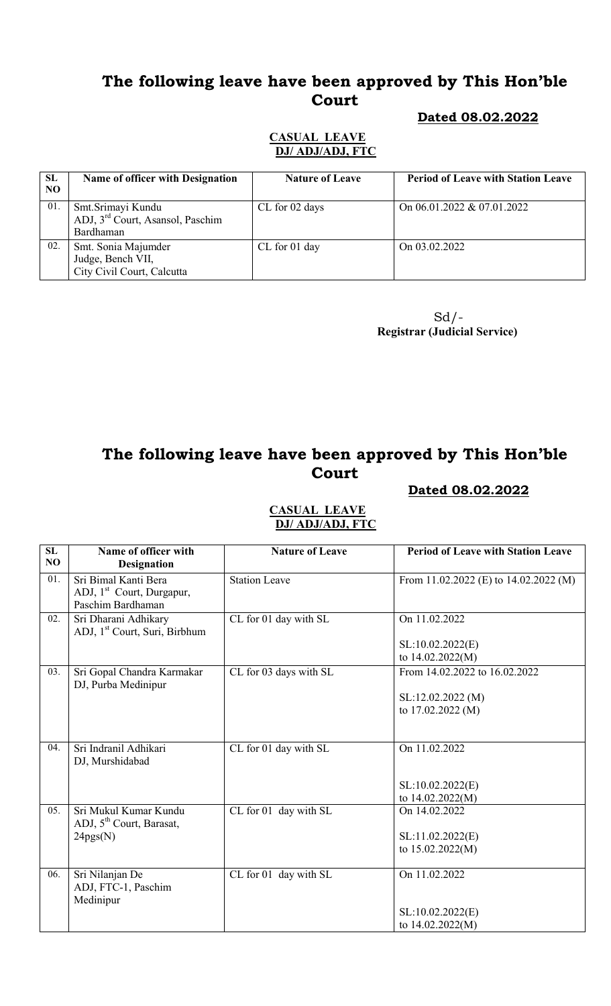# The following leave have been approved by This Hon'ble Court

### Dated 08.02.2022

#### CASUAL LEAVE DJ/ ADJ/ADJ, FTC

| SL<br>N <sub>O</sub> | <b>Name of officer with Designation</b>                                        | <b>Nature of Leave</b> | <b>Period of Leave with Station Leave</b> |
|----------------------|--------------------------------------------------------------------------------|------------------------|-------------------------------------------|
| 01.                  | Smt.Srimayi Kundu<br>ADJ, 3 <sup>rd</sup> Court, Asansol, Paschim<br>Bardhaman | CL for 02 days         | On $06.01.2022 \& 07.01.2022$             |
| 02.                  | Smt. Sonia Majumder<br>Judge, Bench VII,<br>City Civil Court, Calcutta         | CL for 01 day          | On 03.02.2022                             |

 $Sd$  /-Registrar (Judicial Service)

# The following leave have been approved by This Hon'ble Court

### Dated 08.02.2022

| SL<br>NO | Name of officer with<br><b>Designation</b>                                         | <b>Nature of Leave</b> | <b>Period of Leave with Station Leave</b>                               |
|----------|------------------------------------------------------------------------------------|------------------------|-------------------------------------------------------------------------|
| 01.      | Sri Bimal Kanti Bera<br>ADJ, 1 <sup>st</sup> Court, Durgapur,<br>Paschim Bardhaman | <b>Station Leave</b>   | From 11.02.2022 (E) to 14.02.2022 (M)                                   |
| 02.      | Sri Dharani Adhikary<br>ADJ, 1 <sup>st</sup> Court, Suri, Birbhum                  | CL for 01 day with SL  | On 11.02.2022<br>SL:10.02.2022(E)<br>to 14.02.2022(M)                   |
| 03.      | Sri Gopal Chandra Karmakar<br>DJ, Purba Medinipur                                  | CL for 03 days with SL | From 14.02.2022 to 16.02.2022<br>SL:12.02.2022(M)<br>to $17.02.2022(M)$ |
| 04.      | Sri Indranil Adhikari<br>DJ, Murshidabad                                           | CL for 01 day with SL  | On 11.02.2022<br>SL:10.02.2022(E)<br>to 14.02.2022(M)                   |
| 05.      | Sri Mukul Kumar Kundu<br>ADJ, 5 <sup>th</sup> Court, Barasat,<br>24pgs(N)          | CL for 01 day with SL  | On 14.02.2022<br>SL:11.02.2022(E)<br>to $15.02.2022(M)$                 |
| 06.      | Sri Nilanjan De<br>ADJ, FTC-1, Paschim<br>Medinipur                                | CL for 01 day with SL  | On 11.02.2022<br>SL:10.02.2022(E)<br>to $14.02.2022(M)$                 |

#### CASUAL LEAVE DJ/ ADJ/ADJ, FTC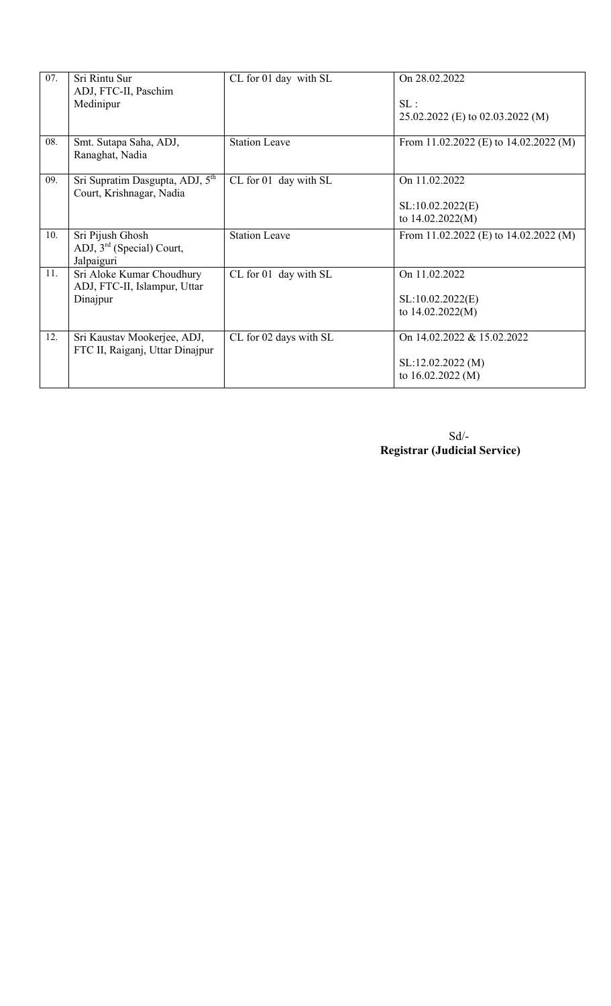| 07. | Sri Rintu Sur<br>ADJ, FTC-II, Paschim<br>Medinipur                      | CL for 01 day with SL  | On 28.02.2022<br>SL:<br>25.02.2022 (E) to 02.03.2022 (M)            |
|-----|-------------------------------------------------------------------------|------------------------|---------------------------------------------------------------------|
| 08. | Smt. Sutapa Saha, ADJ,<br>Ranaghat, Nadia                               | <b>Station Leave</b>   | From 11.02.2022 (E) to $14.02.2022$ (M)                             |
| 09. | Sri Supratim Dasgupta, ADJ, 5 <sup>th</sup><br>Court, Krishnagar, Nadia | CL for 01 day with SL  | On 11.02.2022<br>SL:10.02.2022(E)<br>to 14.02.2022(M)               |
| 10. | Sri Pijush Ghosh<br>ADJ, $3rd$ (Special) Court,<br>Jalpaiguri           | <b>Station Leave</b>   | From 11.02.2022 (E) to $14.02.2022$ (M)                             |
| 11. | Sri Aloke Kumar Choudhury<br>ADJ, FTC-II, Islampur, Uttar<br>Dinajpur   | CL for 01 day with SL  | On 11.02.2022<br>SL:10.02.2022(E)<br>to $14.02.2022(M)$             |
| 12. | Sri Kaustav Mookerjee, ADJ,<br>FTC II, Raiganj, Uttar Dinajpur          | CL for 02 days with SL | On 14.02.2022 & 15.02.2022<br>SL:12.02.2022(M)<br>to 16.02.2022 (M) |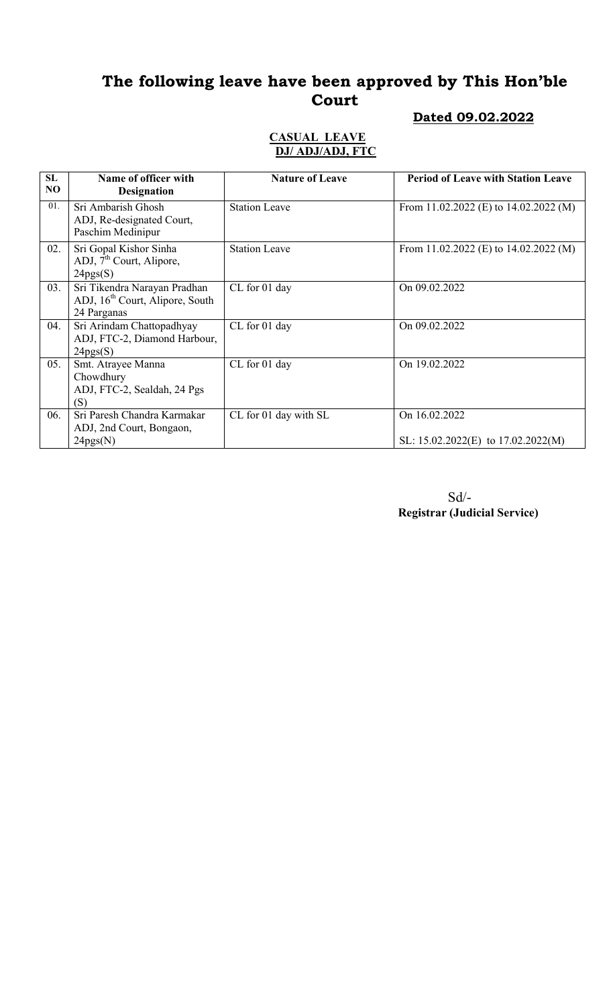# The following leave have been approved by This Hon'ble Court

### Dated 09.02.2022

#### CASUAL LEAVE DJ/ ADJ/ADJ, FTC

| <b>SL</b><br>NO | Name of officer with<br><b>Designation</b>                                                 | <b>Nature of Leave</b> | <b>Period of Leave with Station Leave</b>               |
|-----------------|--------------------------------------------------------------------------------------------|------------------------|---------------------------------------------------------|
| 01.             | Sri Ambarish Ghosh<br>ADJ, Re-designated Court,<br>Paschim Medinipur                       | <b>Station Leave</b>   | From 11.02.2022 (E) to $14.02.2022$ (M)                 |
| 02.             | Sri Gopal Kishor Sinha<br>ADJ, $7^{\text{th}}$ Court, Alipore,<br>24pgs(S)                 | <b>Station Leave</b>   | From 11.02.2022 (E) to $14.02.2022$ (M)                 |
| 03.             | Sri Tikendra Narayan Pradhan<br>ADJ, 16 <sup>th</sup> Court, Alipore, South<br>24 Parganas | CL for 01 day          | On 09.02.2022                                           |
| 04.             | Sri Arindam Chattopadhyay<br>ADJ, FTC-2, Diamond Harbour,<br>24pgs(S)                      | CL for 01 day          | On 09.02.2022                                           |
| 05.             | Smt. Atrayee Manna<br>Chowdhury<br>ADJ, FTC-2, Sealdah, 24 Pgs<br>(S)                      | CL for 01 day          | On 19.02.2022                                           |
| 06.             | Sri Paresh Chandra Karmakar<br>ADJ, 2nd Court, Bongaon,<br>24pgs(N)                        | CL for 01 day with SL  | On 16.02.2022<br>SL: $15.02.2022(E)$ to $17.02.2022(M)$ |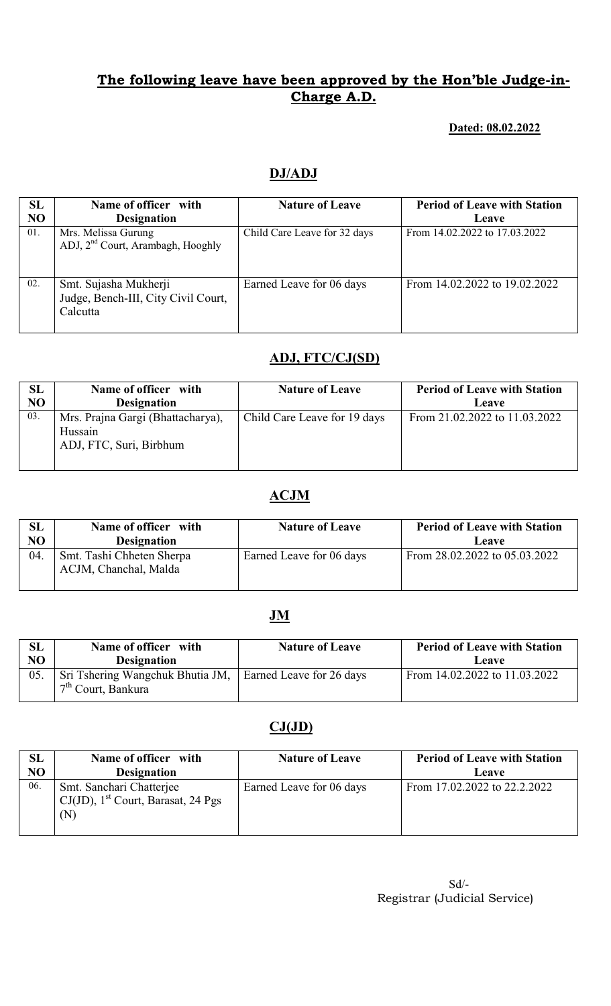### Dated: 08.02.2022

## DJ/ADJ

| SL<br>NO | Name of officer with<br><b>Designation</b>                               | <b>Nature of Leave</b>       | <b>Period of Leave with Station</b><br>Leave |
|----------|--------------------------------------------------------------------------|------------------------------|----------------------------------------------|
| 01.      | Mrs. Melissa Gurung<br>ADJ, 2 <sup>nd</sup> Court, Arambagh, Hooghly     | Child Care Leave for 32 days | From 14.02.2022 to 17.03.2022                |
| 02.      | Smt. Sujasha Mukherji<br>Judge, Bench-III, City Civil Court,<br>Calcutta | Earned Leave for 06 days     | From 14.02.2022 to 19.02.2022                |

## ADJ, FTC/CJ(SD)

| SL             | Name of officer with                                                    | <b>Nature of Leave</b>       | <b>Period of Leave with Station</b> |
|----------------|-------------------------------------------------------------------------|------------------------------|-------------------------------------|
| N <sub>O</sub> | <b>Designation</b>                                                      |                              | Leave                               |
| 03.            | Mrs. Prajna Gargi (Bhattacharya),<br>Hussain<br>ADJ, FTC, Suri, Birbhum | Child Care Leave for 19 days | From 21.02.2022 to 11.03.2022       |

## ACJM

| SL  | Name of officer with                               | <b>Nature of Leave</b>   | <b>Period of Leave with Station</b> |
|-----|----------------------------------------------------|--------------------------|-------------------------------------|
| NO  | <b>Designation</b>                                 |                          | Leave                               |
| 04. | Smt. Tashi Chheten Sherpa<br>ACJM, Chanchal, Malda | Earned Leave for 06 days | From 28.02.2022 to 05.03.2022       |

### **JM**

| SL  | Name of officer with                                                              | <b>Nature of Leave</b> | <b>Period of Leave with Station</b> |
|-----|-----------------------------------------------------------------------------------|------------------------|-------------------------------------|
| NO  | <b>Designation</b>                                                                |                        | Leave                               |
| 05. | Sri Tshering Wangchuk Bhutia JM, Earned Leave for 26 days<br>$7th$ Court, Bankura |                        | From 14.02.2022 to 11.03.2022       |

# $CJ(JD)$

| SL  | Name of officer with                                                    | <b>Nature of Leave</b>   | <b>Period of Leave with Station</b> |
|-----|-------------------------------------------------------------------------|--------------------------|-------------------------------------|
| NO  | <b>Designation</b>                                                      |                          | Leave                               |
| 06. | Smt. Sanchari Chatterjee<br>CJ(JD), $1st$ Court, Barasat, 24 Pgs<br>(N) | Earned Leave for 06 days | From 17.02.2022 to 22.2.2022        |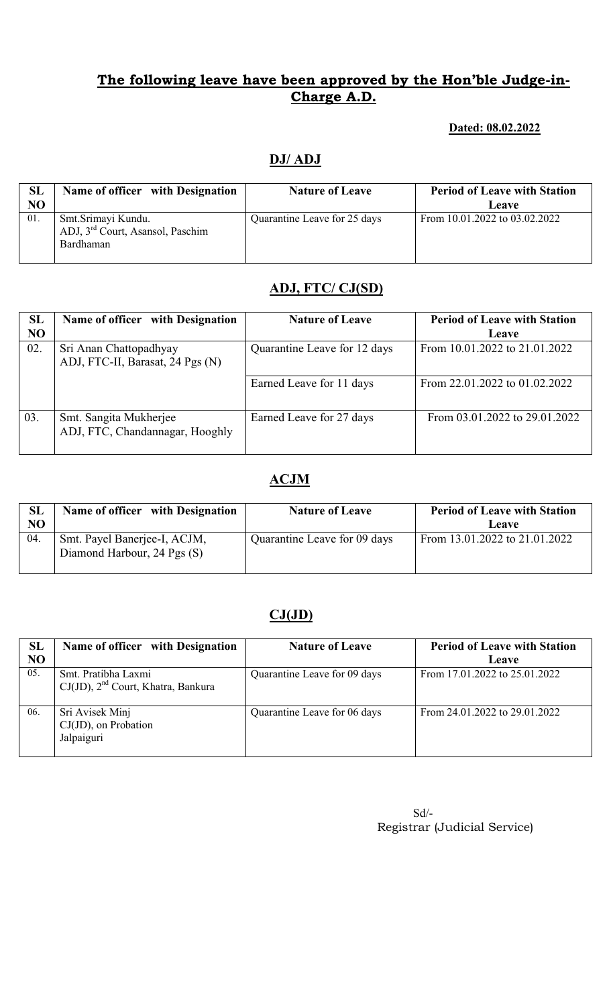### Dated: 08.02.2022

## DJ/ ADJ

| <b>SL</b><br>NO | Name of officer with Designation                                                | <b>Nature of Leave</b>       | <b>Period of Leave with Station</b><br>Leave |
|-----------------|---------------------------------------------------------------------------------|------------------------------|----------------------------------------------|
| 01.             | Smt.Srimayi Kundu.<br>ADJ, 3 <sup>rd</sup> Court, Asansol, Paschim<br>Bardhaman | Quarantine Leave for 25 days | From 10.01.2022 to 03.02.2022                |

### ADJ, FTC/ CJ(SD)

| SL             | Name of officer with Designation                           | <b>Nature of Leave</b>       | <b>Period of Leave with Station</b> |
|----------------|------------------------------------------------------------|------------------------------|-------------------------------------|
| N <sub>O</sub> |                                                            |                              | Leave                               |
| 02.            | Sri Anan Chattopadhyay<br>ADJ, FTC-II, Barasat, 24 Pgs (N) | Quarantine Leave for 12 days | From 10.01.2022 to 21.01.2022       |
|                |                                                            | Earned Leave for 11 days     | From 22.01.2022 to 01.02.2022       |
| 03.            | Smt. Sangita Mukherjee<br>ADJ, FTC, Chandannagar, Hooghly  | Earned Leave for 27 days     | From 03.01.2022 to 29.01.2022       |

## ACJM

| SL<br>NO | Name of officer with Designation                            | <b>Nature of Leave</b>       | <b>Period of Leave with Station</b><br>Leave |
|----------|-------------------------------------------------------------|------------------------------|----------------------------------------------|
| 04.      | Smt. Payel Banerjee-I, ACJM,<br>Diamond Harbour, 24 Pgs (S) | Quarantine Leave for 09 days | From 13.01.2022 to 21.01.2022                |

## $CJ(JD)$

| SL<br>N <sub>O</sub> | Name of officer with Designation                               | <b>Nature of Leave</b>       | <b>Period of Leave with Station</b><br>Leave |
|----------------------|----------------------------------------------------------------|------------------------------|----------------------------------------------|
| 05.                  | Smt. Pratibha Laxmi<br>$CJ(JD)$ , $2nd$ Court, Khatra, Bankura | Quarantine Leave for 09 days | From 17.01.2022 to 25.01.2022                |
| 06.                  | Sri Avisek Minj<br>$CJ(JD)$ , on Probation<br>Jalpaiguri       | Quarantine Leave for 06 days | From $24.01.2022$ to $29.01.2022$            |

| $Sd/-$                       |
|------------------------------|
| Registrar (Judicial Service) |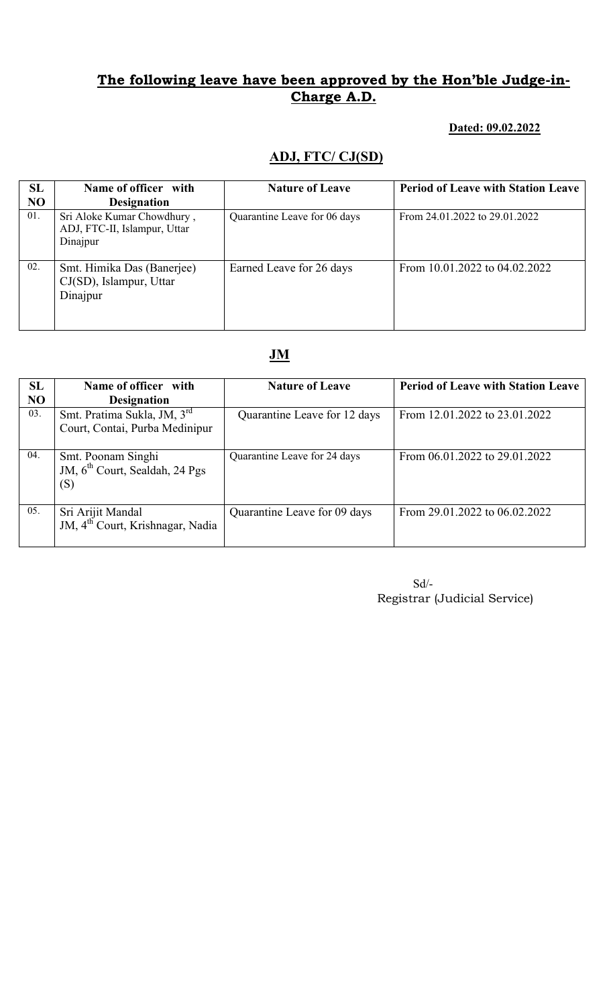### Dated: 09.02.2022

## ADJ, FTC/ CJ(SD)

| <b>SL</b><br>N <sub>O</sub> | Name of officer with<br><b>Designation</b>                             | <b>Nature of Leave</b>       | <b>Period of Leave with Station Leave</b> |
|-----------------------------|------------------------------------------------------------------------|------------------------------|-------------------------------------------|
| 01.                         | Sri Aloke Kumar Chowdhury,<br>ADJ, FTC-II, Islampur, Uttar<br>Dinajpur | Quarantine Leave for 06 days | From 24.01.2022 to 29.01.2022             |
| 02.                         | Smt. Himika Das (Banerjee)<br>CJ(SD), Islampur, Uttar<br>Dinajpur      | Earned Leave for 26 days     | From 10.01.2022 to 04.02.2022             |

# JM

| SL        | Name of officer with                         | <b>Nature of Leave</b>       | <b>Period of Leave with Station Leave</b> |
|-----------|----------------------------------------------|------------------------------|-------------------------------------------|
| <b>NO</b> | <b>Designation</b>                           |                              |                                           |
| 03.       | Smt. Pratima Sukla, JM, 3 <sup>rd</sup>      | Quarantine Leave for 12 days | From 12.01.2022 to 23.01.2022             |
|           | Court, Contai, Purba Medinipur               |                              |                                           |
|           |                                              |                              |                                           |
| 04.       | Smt. Poonam Singhi                           | Quarantine Leave for 24 days | From 06.01.2022 to 29.01.2022             |
|           | JM, 6 <sup>th</sup> Court, Sealdah, 24 Pgs   |                              |                                           |
|           | (S)                                          |                              |                                           |
|           |                                              |                              |                                           |
| 05.       | Sri Arijit Mandal                            | Quarantine Leave for 09 days | From 29.01.2022 to 06.02.2022             |
|           | JM, 4 <sup>th</sup> Court, Krishnagar, Nadia |                              |                                           |
|           |                                              |                              |                                           |